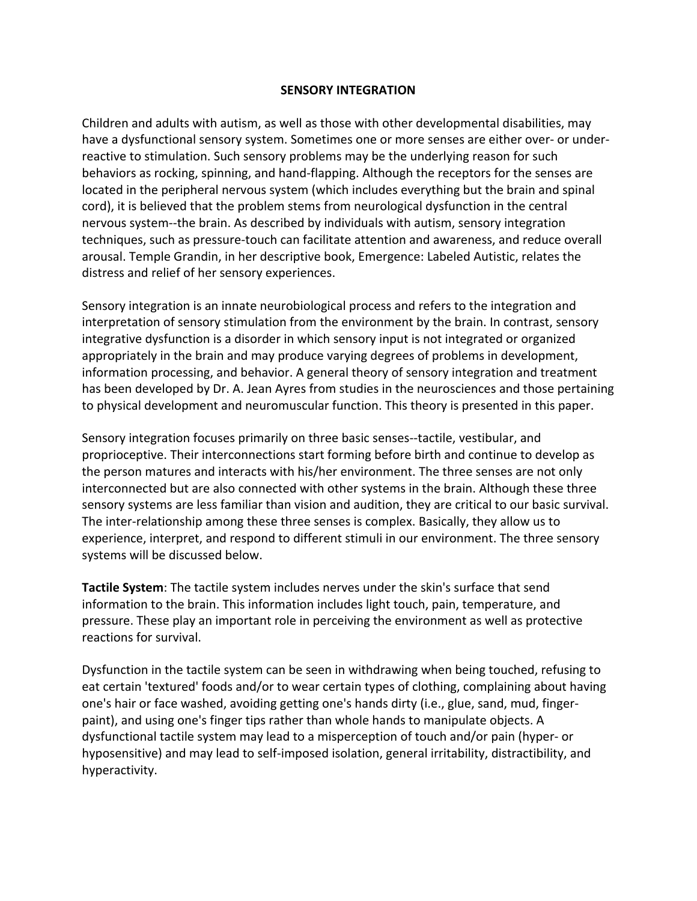## **SENSORY INTEGRATION**

Children and adults with autism, as well as those with other developmental disabilities, may have a dysfunctional sensory system. Sometimes one or more senses are either over- or underreactive to stimulation. Such sensory problems may be the underlying reason for such behaviors as rocking, spinning, and hand-flapping. Although the receptors for the senses are located in the peripheral nervous system (which includes everything but the brain and spinal cord), it is believed that the problem stems from neurological dysfunction in the central nervous system--the brain. As described by individuals with autism, sensory integration techniques, such as pressure-touch can facilitate attention and awareness, and reduce overall arousal. Temple Grandin, in her descriptive book, Emergence: Labeled Autistic, relates the distress and relief of her sensory experiences.

Sensory integration is an innate neurobiological process and refers to the integration and interpretation of sensory stimulation from the environment by the brain. In contrast, sensory integrative dysfunction is a disorder in which sensory input is not integrated or organized appropriately in the brain and may produce varying degrees of problems in development, information processing, and behavior. A general theory of sensory integration and treatment has been developed by Dr. A. Jean Ayres from studies in the neurosciences and those pertaining to physical development and neuromuscular function. This theory is presented in this paper.

Sensory integration focuses primarily on three basic senses--tactile, vestibular, and proprioceptive. Their interconnections start forming before birth and continue to develop as the person matures and interacts with his/her environment. The three senses are not only interconnected but are also connected with other systems in the brain. Although these three sensory systems are less familiar than vision and audition, they are critical to our basic survival. The inter-relationship among these three senses is complex. Basically, they allow us to experience, interpret, and respond to different stimuli in our environment. The three sensory systems will be discussed below.

**Tactile System**: The tactile system includes nerves under the skin's surface that send information to the brain. This information includes light touch, pain, temperature, and pressure. These play an important role in perceiving the environment as well as protective reactions for survival.

Dysfunction in the tactile system can be seen in withdrawing when being touched, refusing to eat certain 'textured' foods and/or to wear certain types of clothing, complaining about having one's hair or face washed, avoiding getting one's hands dirty (i.e., glue, sand, mud, fingerpaint), and using one's finger tips rather than whole hands to manipulate objects. A dysfunctional tactile system may lead to a misperception of touch and/or pain (hyper- or hyposensitive) and may lead to self-imposed isolation, general irritability, distractibility, and hyperactivity.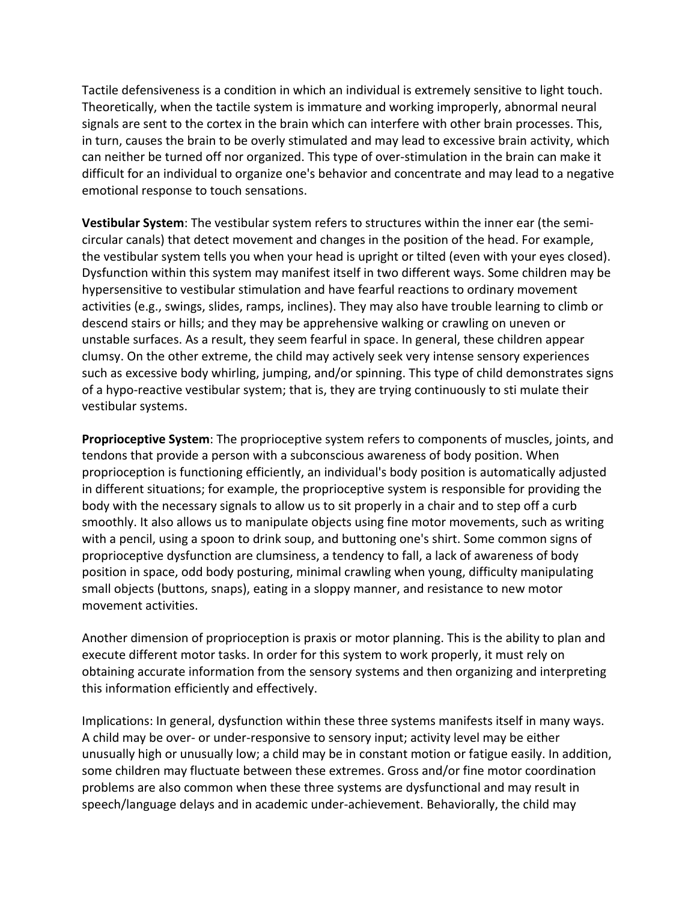Tactile defensiveness is a condition in which an individual is extremely sensitive to light touch. Theoretically, when the tactile system is immature and working improperly, abnormal neural signals are sent to the cortex in the brain which can interfere with other brain processes. This, in turn, causes the brain to be overly stimulated and may lead to excessive brain activity, which can neither be turned off nor organized. This type of over-stimulation in the brain can make it difficult for an individual to organize one's behavior and concentrate and may lead to a negative emotional response to touch sensations.

**Vestibular System**: The vestibular system refers to structures within the inner ear (the semicircular canals) that detect movement and changes in the position of the head. For example, the vestibular system tells you when your head is upright or tilted (even with your eyes closed). Dysfunction within this system may manifest itself in two different ways. Some children may be hypersensitive to vestibular stimulation and have fearful reactions to ordinary movement activities (e.g., swings, slides, ramps, inclines). They may also have trouble learning to climb or descend stairs or hills; and they may be apprehensive walking or crawling on uneven or unstable surfaces. As a result, they seem fearful in space. In general, these children appear clumsy. On the other extreme, the child may actively seek very intense sensory experiences such as excessive body whirling, jumping, and/or spinning. This type of child demonstrates signs of a hypo-reactive vestibular system; that is, they are trying continuously to sti mulate their vestibular systems.

**Proprioceptive System**: The proprioceptive system refers to components of muscles, joints, and tendons that provide a person with a subconscious awareness of body position. When proprioception is functioning efficiently, an individual's body position is automatically adjusted in different situations; for example, the proprioceptive system is responsible for providing the body with the necessary signals to allow us to sit properly in a chair and to step off a curb smoothly. It also allows us to manipulate objects using fine motor movements, such as writing with a pencil, using a spoon to drink soup, and buttoning one's shirt. Some common signs of proprioceptive dysfunction are clumsiness, a tendency to fall, a lack of awareness of body position in space, odd body posturing, minimal crawling when young, difficulty manipulating small objects (buttons, snaps), eating in a sloppy manner, and resistance to new motor movement activities.

Another dimension of proprioception is praxis or motor planning. This is the ability to plan and execute different motor tasks. In order for this system to work properly, it must rely on obtaining accurate information from the sensory systems and then organizing and interpreting this information efficiently and effectively.

Implications: In general, dysfunction within these three systems manifests itself in many ways. A child may be over- or under-responsive to sensory input; activity level may be either unusually high or unusually low; a child may be in constant motion or fatigue easily. In addition, some children may fluctuate between these extremes. Gross and/or fine motor coordination problems are also common when these three systems are dysfunctional and may result in speech/language delays and in academic under-achievement. Behaviorally, the child may